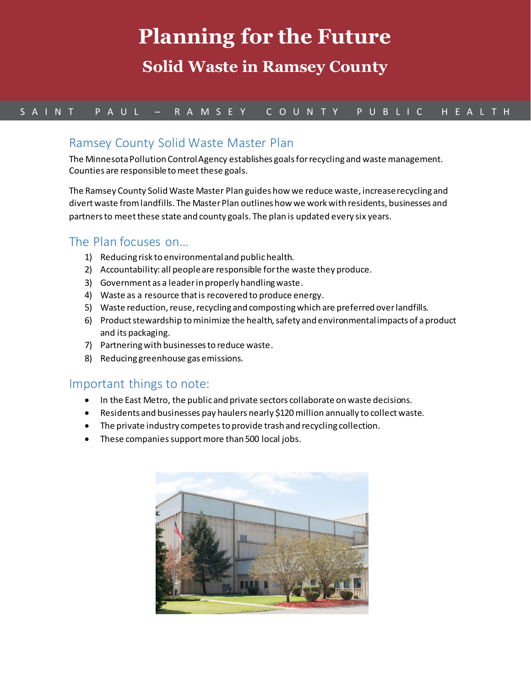# **Planning for the Future**

# **Solid Waste in Ramsey County**

### S A I N T P A U L – R A M S E Y C O U N T Y P U B L I C H E A L T H

#### Ramsey County Solid Waste Master Plan

The Minnesota Pollution Control Agency establishes goals for recycling and waste management. Counties are responsible to meet these goals.

The Ramsey County Solid Waste Master Plan guides how we reduce waste, increase recycling and divertwaste from landfills. The Master Plan outlines how we work with residents, businesses and partners to meet these state and county goals. The plan is updated every six years.

#### The Plan focuses on…

- 1) Reducing risk to environmental and public health.
- 2) Accountability: all people are responsible for the waste they produce.
- 3) Government as a leader in properly handling waste.
- 4) Waste as a resource that is recovered to produce energy.
- 5) Waste reduction, reuse, recycling and composting which are preferred over landfills.
- 6) Product stewardship to minimize the health, safety and environmental impacts of a product and its packaging.
- 7) Partnering with businesses to reduce waste.
- 8) Reducing greenhouse gas emissions.

#### Important things to note:

- In the East Metro, the public and private sectors collaborate on waste decisions.
- Residents and businesses pay haulers nearly \$120 million annually to collect waste.
- The private industry competes to provide trash and recycling collection.
- These companies support more than 500 local jobs.